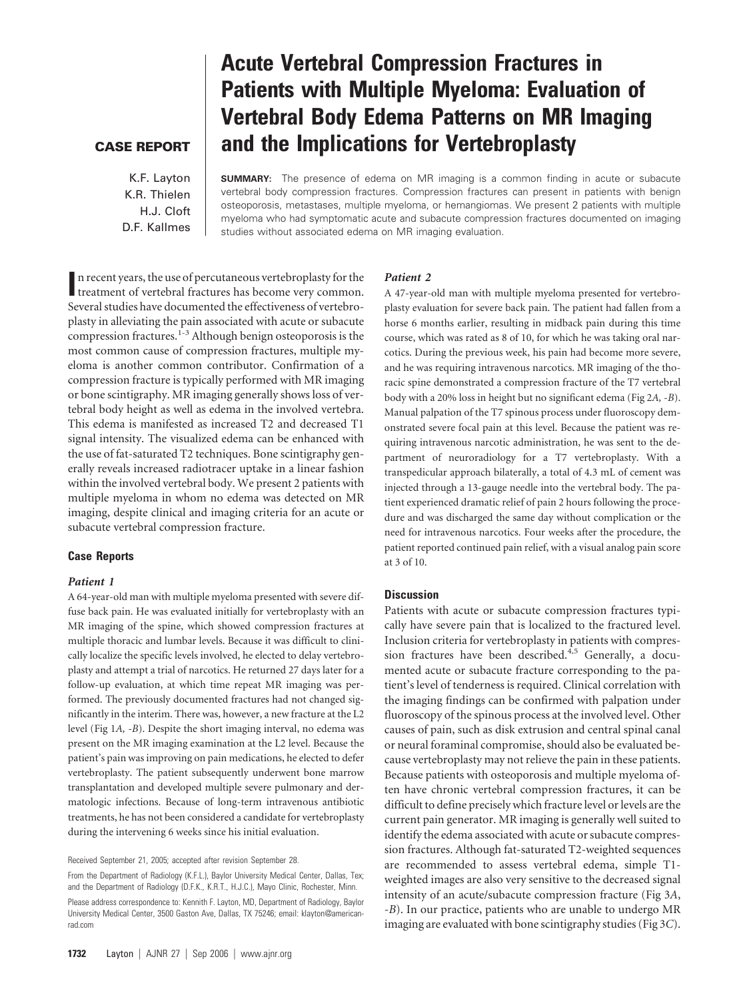## **CASE REPORT**

K.F. Layton K.R. Thielen H.J. Cloft D.F. Kallmes

# **Acute Vertebral Compression Fractures in Patients with Multiple Myeloma: Evaluation of Vertebral Body Edema Patterns on MR Imaging and the Implications for Vertebroplasty**

**SUMMARY:** The presence of edema on MR imaging is a common finding in acute or subacute vertebral body compression fractures. Compression fractures can present in patients with benign osteoporosis, metastases, multiple myeloma, or hemangiomas. We present 2 patients with multiple myeloma who had symptomatic acute and subacute compression fractures documented on imaging studies without associated edema on MR imaging evaluation.

In recent years, the use of percutaneous vertebroplasty for the treatment of vertebral fractures has become very common. treatment of vertebral fractures has become very common. Several studies have documented the effectiveness of vertebroplasty in alleviating the pain associated with acute or subacute compression fractures.<sup>1-3</sup> Although benign osteoporosis is the most common cause of compression fractures, multiple myeloma is another common contributor. Confirmation of a compression fracture is typically performed with MR imaging or bone scintigraphy. MR imaging generally shows loss of vertebral body height as well as edema in the involved vertebra. This edema is manifested as increased T2 and decreased T1 signal intensity. The visualized edema can be enhanced with the use of fat-saturated T2 techniques. Bone scintigraphy generally reveals increased radiotracer uptake in a linear fashion within the involved vertebral body. We present 2 patients with multiple myeloma in whom no edema was detected on MR imaging, despite clinical and imaging criteria for an acute or subacute vertebral compression fracture.

## **Case Reports**

#### *Patient 1*

A 64-year-old man with multiple myeloma presented with severe diffuse back pain. He was evaluated initially for vertebroplasty with an MR imaging of the spine, which showed compression fractures at multiple thoracic and lumbar levels. Because it was difficult to clinically localize the specific levels involved, he elected to delay vertebroplasty and attempt a trial of narcotics. He returned 27 days later for a follow-up evaluation, at which time repeat MR imaging was performed. The previously documented fractures had not changed significantly in the interim. There was, however, a new fracture at the L2 level (Fig 1*A,* -*B*). Despite the short imaging interval, no edema was present on the MR imaging examination at the L2 level. Because the patient's pain was improving on pain medications, he elected to defer vertebroplasty. The patient subsequently underwent bone marrow transplantation and developed multiple severe pulmonary and dermatologic infections. Because of long-term intravenous antibiotic treatments, he has not been considered a candidate for vertebroplasty during the intervening 6 weeks since his initial evaluation.

From the Department of Radiology (K.F.L.), Baylor University Medical Center, Dallas, Tex; and the Department of Radiology (D.F.K., K.R.T., H.J.C.), Mayo Clinic, Rochester, Minn.

## *Patient 2*

A 47-year-old man with multiple myeloma presented for vertebroplasty evaluation for severe back pain. The patient had fallen from a horse 6 months earlier, resulting in midback pain during this time course, which was rated as 8 of 10, for which he was taking oral narcotics. During the previous week, his pain had become more severe, and he was requiring intravenous narcotics. MR imaging of the thoracic spine demonstrated a compression fracture of the T7 vertebral body with a 20% loss in height but no significant edema (Fig 2*A, -B*). Manual palpation of the T7 spinous process under fluoroscopy demonstrated severe focal pain at this level. Because the patient was requiring intravenous narcotic administration, he was sent to the department of neuroradiology for a T7 vertebroplasty. With a transpedicular approach bilaterally, a total of 4.3 mL of cement was injected through a 13-gauge needle into the vertebral body. The patient experienced dramatic relief of pain 2 hours following the procedure and was discharged the same day without complication or the need for intravenous narcotics. Four weeks after the procedure, the patient reported continued pain relief, with a visual analog pain score at 3 of 10.

## **Discussion**

Patients with acute or subacute compression fractures typically have severe pain that is localized to the fractured level. Inclusion criteria for vertebroplasty in patients with compression fractures have been described.<sup>4,5</sup> Generally, a documented acute or subacute fracture corresponding to the patient's level of tenderness is required. Clinical correlation with the imaging findings can be confirmed with palpation under fluoroscopy of the spinous process at the involved level. Other causes of pain, such as disk extrusion and central spinal canal or neural foraminal compromise, should also be evaluated because vertebroplasty may not relieve the pain in these patients. Because patients with osteoporosis and multiple myeloma often have chronic vertebral compression fractures, it can be difficult to define precisely which fracture level or levels are the current pain generator. MR imaging is generally well suited to identify the edema associated with acute or subacute compression fractures. Although fat-saturated T2-weighted sequences are recommended to assess vertebral edema, simple T1 weighted images are also very sensitive to the decreased signal intensity of an acute/subacute compression fracture (Fig 3*A*, -*B*). In our practice, patients who are unable to undergo MR imaging are evaluated with bone scintigraphy studies (Fig 3*C*).

Received September 21, 2005; accepted after revision September 28.

Please address correspondence to: Kennith F. Layton, MD, Department of Radiology, Baylor University Medical Center, 3500 Gaston Ave, Dallas, TX 75246; email: klayton@americanrad.com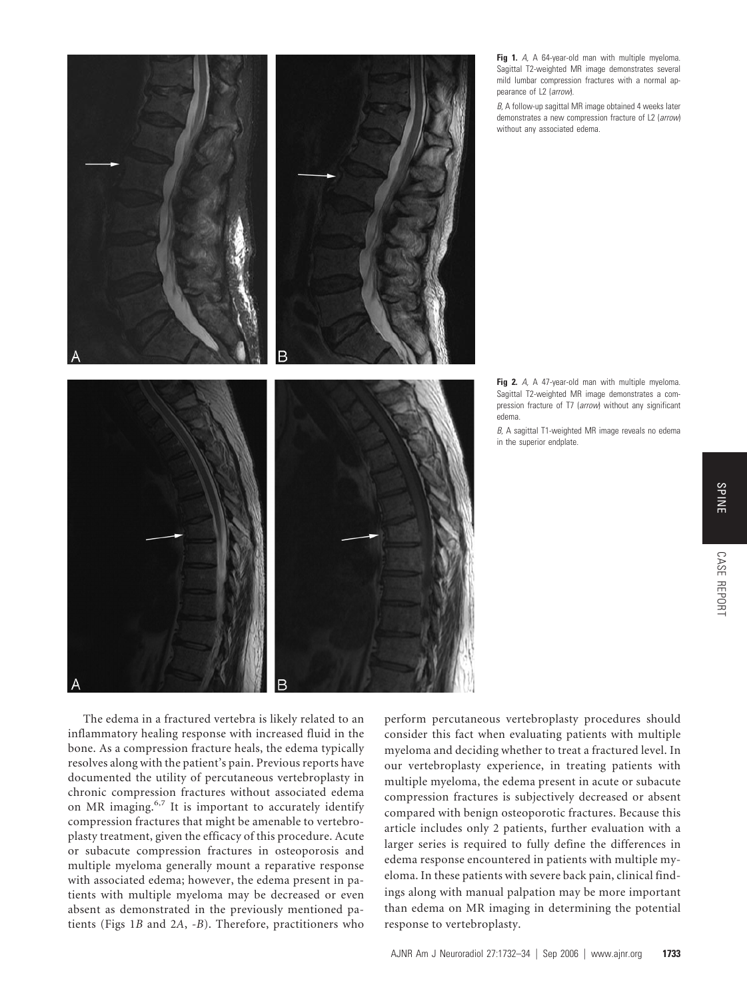

**Fig 1.** *A,* A 64-year-old man with multiple myeloma. Sagittal T2-weighted MR image demonstrates several mild lumbar compression fractures with a normal appearance of L2 (*arrow*).

*B,* A follow-up sagittal MR image obtained 4 weeks later demonstrates a new compression fracture of L2 (*arrow*) without any associated edema.

**Fig 2.** *A,* A 47-year-old man with multiple myeloma. Sagittal T2-weighted MR image demonstrates a compression fracture of T7 (*arrow*) without any significant edema.

*B,* A sagittal T1-weighted MR image reveals no edema in the superior endplate.

The edema in a fractured vertebra is likely related to an inflammatory healing response with increased fluid in the bone. As a compression fracture heals, the edema typically resolves along with the patient's pain. Previous reports have documented the utility of percutaneous vertebroplasty in chronic compression fractures without associated edema on MR imaging.<sup>6,7</sup> It is important to accurately identify compression fractures that might be amenable to vertebroplasty treatment, given the efficacy of this procedure. Acute or subacute compression fractures in osteoporosis and multiple myeloma generally mount a reparative response with associated edema; however, the edema present in patients with multiple myeloma may be decreased or even absent as demonstrated in the previously mentioned patients (Figs 1*B* and 2*A*, *-B*). Therefore, practitioners who perform percutaneous vertebroplasty procedures should consider this fact when evaluating patients with multiple myeloma and deciding whether to treat a fractured level. In our vertebroplasty experience, in treating patients with multiple myeloma, the edema present in acute or subacute compression fractures is subjectively decreased or absent compared with benign osteoporotic fractures. Because this article includes only 2 patients, further evaluation with a larger series is required to fully define the differences in edema response encountered in patients with multiple myeloma. In these patients with severe back pain, clinical findings along with manual palpation may be more important than edema on MR imaging in determining the potential response to vertebroplasty.

CASE REPORT